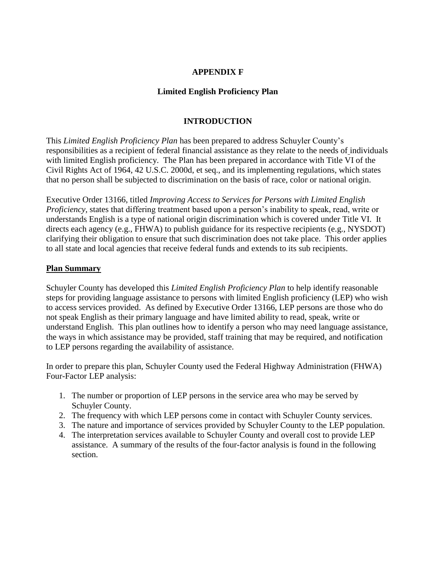### **APPENDIX F**

### **Limited English Proficiency Plan**

### **INTRODUCTION**

This *Limited English Proficiency Plan* has been prepared to address Schuyler County's responsibilities as a recipient of federal financial assistance as they relate to the needs of individuals with limited English proficiency. The Plan has been prepared in accordance with Title VI of the Civil Rights Act of 1964, 42 U.S.C. 2000d, et seq., and its implementing regulations, which states that no person shall be subjected to discrimination on the basis of race, color or national origin.

Executive Order 13166, titled *Improving Access to Services for Persons with Limited English Proficiency*, states that differing treatment based upon a person's inability to speak, read, write or understands English is a type of national origin discrimination which is covered under Title VI. It directs each agency (e.g., FHWA) to publish guidance for its respective recipients (e.g., NYSDOT) clarifying their obligation to ensure that such discrimination does not take place. This order applies to all state and local agencies that receive federal funds and extends to its sub recipients.

#### **Plan Summary**

Schuyler County has developed this *Limited English Proficiency Plan* to help identify reasonable steps for providing language assistance to persons with limited English proficiency (LEP) who wish to access services provided. As defined by Executive Order 13166, LEP persons are those who do not speak English as their primary language and have limited ability to read, speak, write or understand English. This plan outlines how to identify a person who may need language assistance, the ways in which assistance may be provided, staff training that may be required, and notification to LEP persons regarding the availability of assistance.

In order to prepare this plan, Schuyler County used the Federal Highway Administration (FHWA) Four-Factor LEP analysis:

- 1. The number or proportion of LEP persons in the service area who may be served by Schuyler County.
- 2. The frequency with which LEP persons come in contact with Schuyler County services.
- 3. The nature and importance of services provided by Schuyler County to the LEP population.
- 4. The interpretation services available to Schuyler County and overall cost to provide LEP assistance. A summary of the results of the four-factor analysis is found in the following section.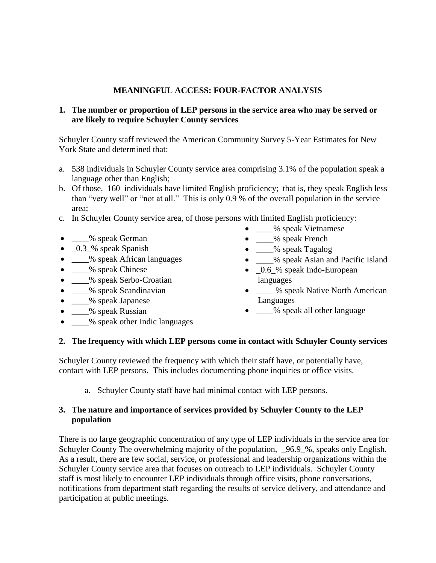### **MEANINGFUL ACCESS: FOUR-FACTOR ANALYSIS**

### **1. The number or proportion of LEP persons in the service area who may be served or are likely to require Schuyler County services**

Schuyler County staff reviewed the American Community Survey 5-Year Estimates for New York State and determined that:

- a. 538 individuals in Schuyler County service area comprising 3.1% of the population speak a language other than English;
- b. Of those, 160 individuals have limited English proficiency; that is, they speak English less than "very well" or "not at all." This is only 0.9 % of the overall population in the service area;
- c. In Schuyler County service area, of those persons with limited English proficiency:
- \_\_\_\_% speak German
- $\_\_\_\$ <sub>3</sub>% speak Spanish
- \_\_\_\_% speak African languages
- \_\_\_% speak Chinese
- \_\_\_\_% speak Serbo-Croatian
- \_\_\_\_% speak Scandinavian
- \_\_\_\_% speak Japanese
- \_\_\_\_% speak Russian
- % speak other Indic languages
- \_\_\_\_% speak Vietnamese
- \_\_\_% speak French
- \_\_\_% speak Tagalog
- \_\_\_\_% speak Asian and Pacific Island
- $\_0.6\%$  speak Indo-European languages
- We speak Native North American Languages
- \_\_\_\_% speak all other language

#### **2. The frequency with which LEP persons come in contact with Schuyler County services**

Schuyler County reviewed the frequency with which their staff have, or potentially have, contact with LEP persons. This includes documenting phone inquiries or office visits.

a. Schuyler County staff have had minimal contact with LEP persons.

#### **3. The nature and importance of services provided by Schuyler County to the LEP population**

There is no large geographic concentration of any type of LEP individuals in the service area for Schuyler County The overwhelming majority of the population,  $\frac{96.9}{8}$ , speaks only English. As a result, there are few social, service, or professional and leadership organizations within the Schuyler County service area that focuses on outreach to LEP individuals. Schuyler County staff is most likely to encounter LEP individuals through office visits, phone conversations, notifications from department staff regarding the results of service delivery, and attendance and participation at public meetings.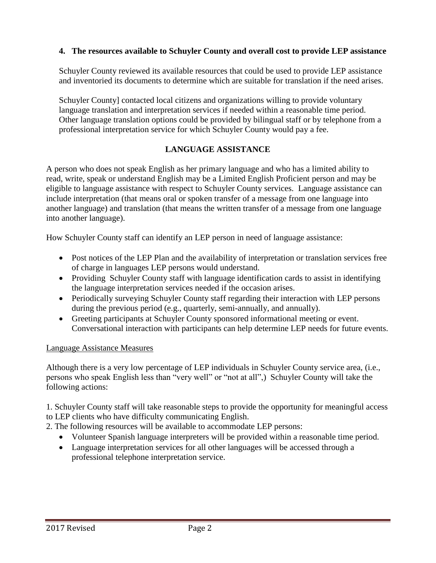### **4. The resources available to Schuyler County and overall cost to provide LEP assistance**

Schuyler County reviewed its available resources that could be used to provide LEP assistance and inventoried its documents to determine which are suitable for translation if the need arises.

Schuyler County] contacted local citizens and organizations willing to provide voluntary language translation and interpretation services if needed within a reasonable time period. Other language translation options could be provided by bilingual staff or by telephone from a professional interpretation service for which Schuyler County would pay a fee.

# **LANGUAGE ASSISTANCE**

A person who does not speak English as her primary language and who has a limited ability to read, write, speak or understand English may be a Limited English Proficient person and may be eligible to language assistance with respect to Schuyler County services. Language assistance can include interpretation (that means oral or spoken transfer of a message from one language into another language) and translation (that means the written transfer of a message from one language into another language).

How Schuyler County staff can identify an LEP person in need of language assistance:

- Post notices of the LEP Plan and the availability of interpretation or translation services free of charge in languages LEP persons would understand.
- Providing Schuyler County staff with language identification cards to assist in identifying the language interpretation services needed if the occasion arises.
- Periodically surveying Schuyler County staff regarding their interaction with LEP persons during the previous period (e.g., quarterly, semi-annually, and annually).
- Greeting participants at Schuyler County sponsored informational meeting or event. Conversational interaction with participants can help determine LEP needs for future events.

### Language Assistance Measures

Although there is a very low percentage of LEP individuals in Schuyler County service area, (i.e., persons who speak English less than "very well" or "not at all",) Schuyler County will take the following actions:

1. Schuyler County staff will take reasonable steps to provide the opportunity for meaningful access to LEP clients who have difficulty communicating English.

2. The following resources will be available to accommodate LEP persons:

- Volunteer Spanish language interpreters will be provided within a reasonable time period.
- Language interpretation services for all other languages will be accessed through a professional telephone interpretation service.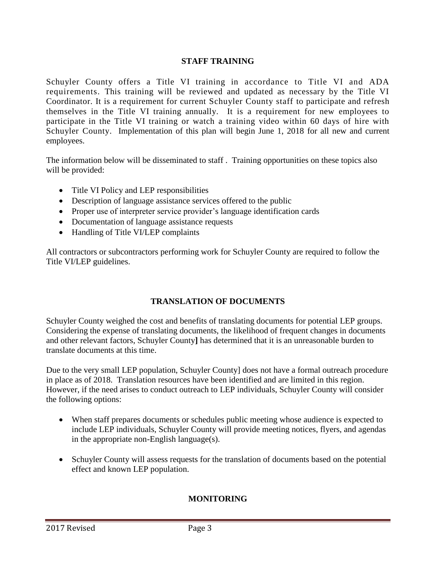### **STAFF TRAINING**

Schuyler County offers a Title VI training in accordance to Title VI and ADA requirements. This training will be reviewed and updated as necessary by the Title VI Coordinator. It is a requirement for current Schuyler County staff to participate and refresh themselves in the Title VI training annually. It is a requirement for new employees to participate in the Title VI training or watch a training video within 60 days of hire with Schuyler County. Implementation of this plan will begin June 1, 2018 for all new and current employees.

The information below will be disseminated to staff . Training opportunities on these topics also will be provided:

- Title VI Policy and LEP responsibilities
- Description of language assistance services offered to the public
- Proper use of interpreter service provider's language identification cards
- Documentation of language assistance requests
- Handling of Title VI/LEP complaints

All contractors or subcontractors performing work for Schuyler County are required to follow the Title VI/LEP guidelines.

### **TRANSLATION OF DOCUMENTS**

Schuyler County weighed the cost and benefits of translating documents for potential LEP groups. Considering the expense of translating documents, the likelihood of frequent changes in documents and other relevant factors, Schuyler County**]** has determined that it is an unreasonable burden to translate documents at this time.

Due to the very small LEP population, Schuyler County] does not have a formal outreach procedure in place as of 2018. Translation resources have been identified and are limited in this region. However, if the need arises to conduct outreach to LEP individuals, Schuyler County will consider the following options:

- When staff prepares documents or schedules public meeting whose audience is expected to include LEP individuals, Schuyler County will provide meeting notices, flyers, and agendas in the appropriate non-English language(s).
- Schuyler County will assess requests for the translation of documents based on the potential effect and known LEP population.

# **MONITORING**